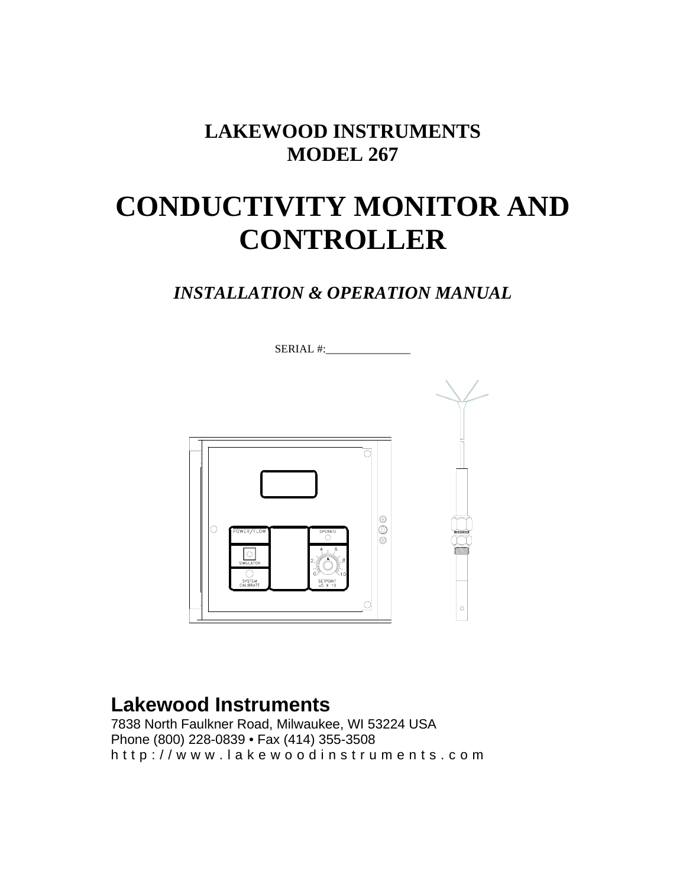**LAKEWOOD INSTRUMENTS MODEL 267** 

# **CONDUCTIVITY MONITOR AND CONTROLLER**

*INSTALLATION & OPERATION MANUAL* 

SERIAL #:\_\_\_\_\_\_\_\_\_\_\_\_\_\_\_



# **Lakewood Instruments**

7838 North Faulkner Road, Milwaukee, WI 53224 USA Phone (800) 228-0839 • Fax (414) 355-3508 http://www.lakewoodinstruments.com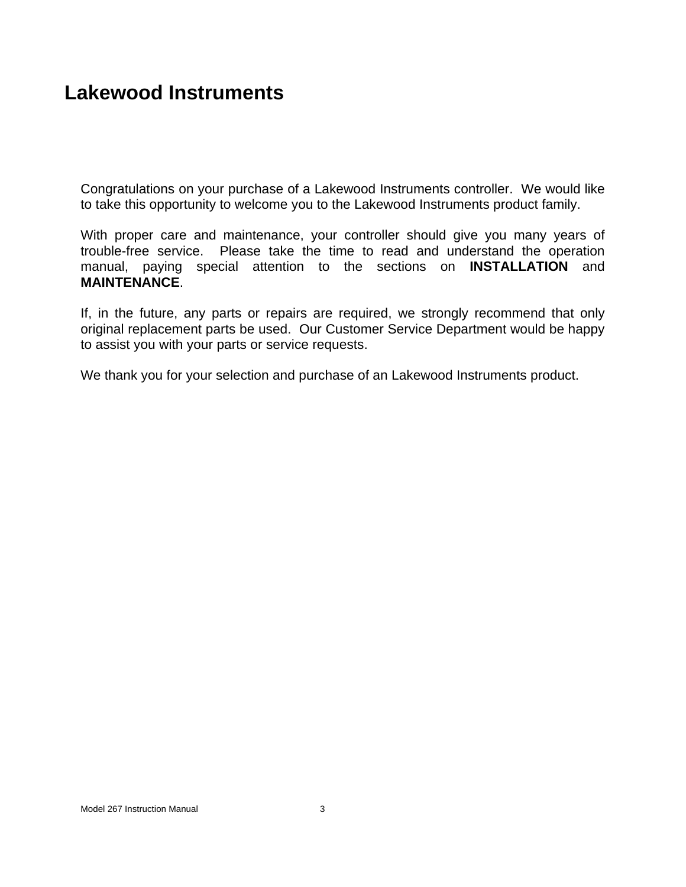# **Lakewood Instruments**

Congratulations on your purchase of a Lakewood Instruments controller. We would like to take this opportunity to welcome you to the Lakewood Instruments product family.

With proper care and maintenance, your controller should give you many years of trouble-free service. Please take the time to read and understand the operation manual, paying special attention to the sections on **INSTALLATION** and **MAINTENANCE**.

If, in the future, any parts or repairs are required, we strongly recommend that only original replacement parts be used. Our Customer Service Department would be happy to assist you with your parts or service requests.

We thank you for your selection and purchase of an Lakewood Instruments product.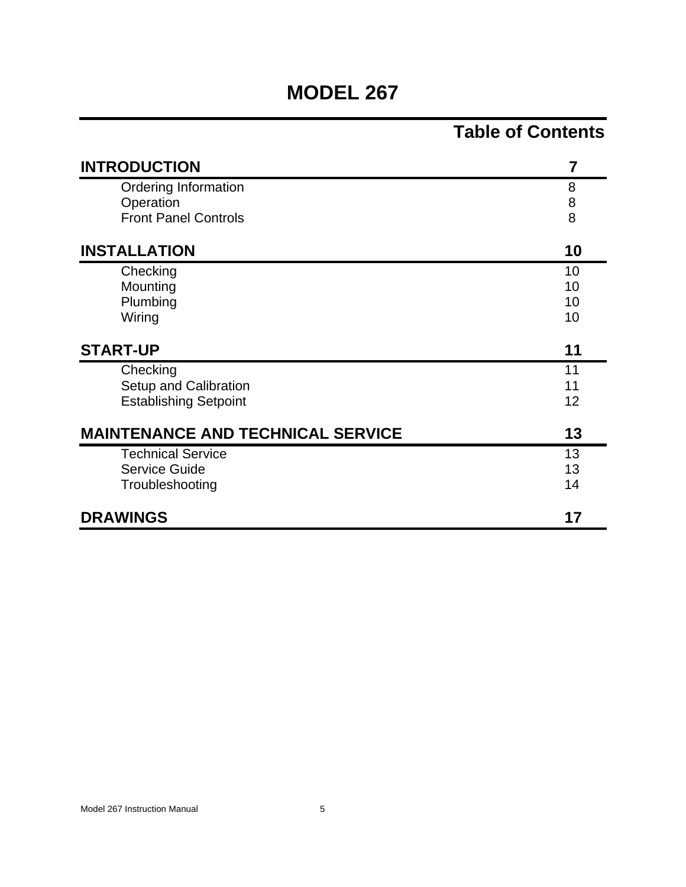# **MODEL 267**

# **Table of Contents**

| <b>INTRODUCTION</b>                      | 7  |
|------------------------------------------|----|
| <b>Ordering Information</b>              | 8  |
| Operation                                | 8  |
| <b>Front Panel Controls</b>              | 8  |
| <b>INSTALLATION</b>                      | 10 |
| Checking                                 | 10 |
| Mounting                                 | 10 |
| Plumbing                                 | 10 |
| Wiring                                   | 10 |
| <b>START-UP</b>                          | 11 |
| Checking                                 | 11 |
| Setup and Calibration                    | 11 |
| <b>Establishing Setpoint</b>             | 12 |
| <b>MAINTENANCE AND TECHNICAL SERVICE</b> |    |
| <b>Technical Service</b>                 | 13 |
| <b>Service Guide</b>                     | 13 |
| Troubleshooting                          | 14 |
| <b>DRAWINGS</b>                          | 17 |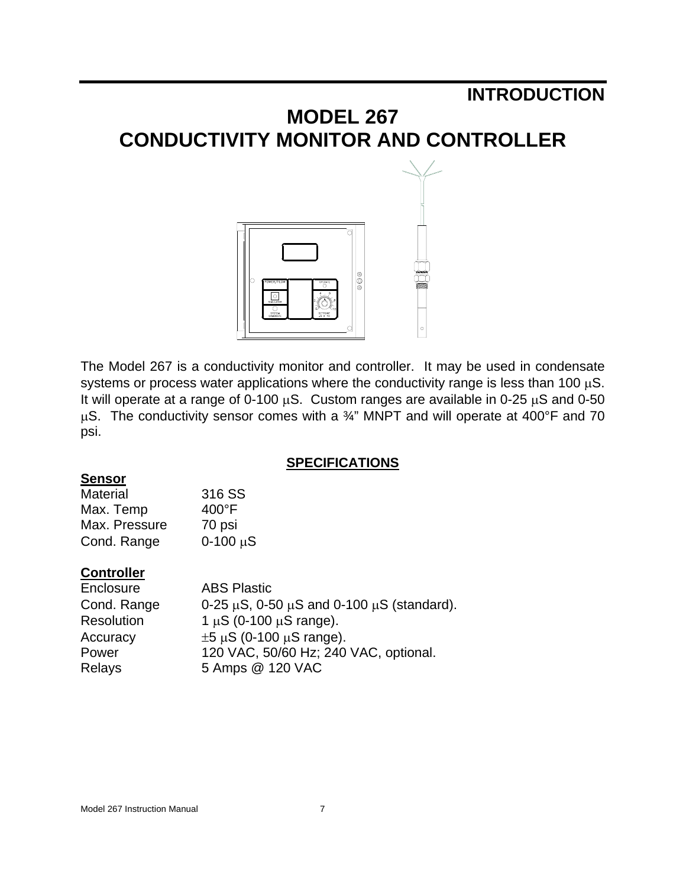### **INTRODUCTION**

# **MODEL 267 CONDUCTIVITY MONITOR AND CONTROLLER**



The Model 267 is a conductivity monitor and controller. It may be used in condensate systems or process water applications where the conductivity range is less than 100  $\mu$ S. It will operate at a range of 0-100  $\mu$ S. Custom ranges are available in 0-25  $\mu$ S and 0-50  $\mu$ S. The conductivity sensor comes with a 3⁄4" MNPT and will operate at 400°F and 70 psi.

#### **SPECIFICATIONS**

#### **Sensor**

| <b>Material</b> | 316 SS          |
|-----------------|-----------------|
| Max. Temp       | $400^{\circ}$ F |
| Max. Pressure   | 70 psi          |
| Cond. Range     | $0-100 \mu S$   |

#### **Controller**

| Enclosure         | <b>ABS Plastic</b>                                       |
|-------------------|----------------------------------------------------------|
| Cond. Range       | 0-25 $\mu$ S, 0-50 $\mu$ S and 0-100 $\mu$ S (standard). |
| <b>Resolution</b> | 1 $\mu$ S (0-100 $\mu$ S range).                         |
| Accuracy          | $\pm 5 \mu S$ (0-100 $\mu S$ range).                     |
| Power             | 120 VAC, 50/60 Hz; 240 VAC, optional.                    |
| Relays            | 5 Amps @ 120 VAC                                         |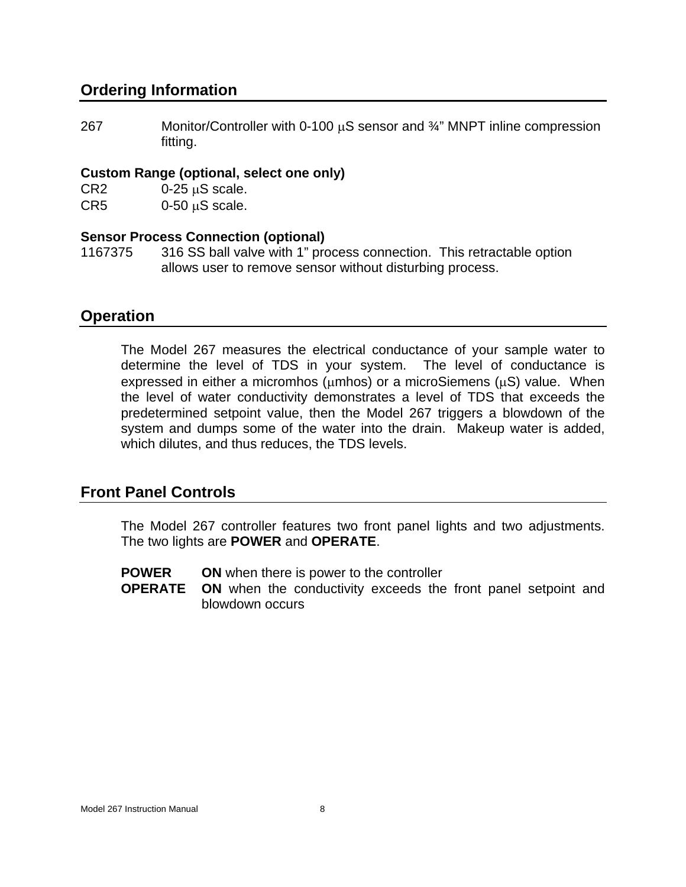### **Ordering Information**

267 Monitor/Controller with 0-100  $\mu$ S sensor and  $\frac{3}{4}$ " MNPT inline compression fitting.

#### **Custom Range (optional, select one only)**

| CR <sub>2</sub> | 0-25 $\mu$ S scale. |
|-----------------|---------------------|
|-----------------|---------------------|

CR5 0-50 uS scale.

#### **Sensor Process Connection (optional)**

1167375 316 SS ball valve with 1" process connection. This retractable option allows user to remove sensor without disturbing process.

### **Operation**

The Model 267 measures the electrical conductance of your sample water to determine the level of TDS in your system. The level of conductance is expressed in either a micromhos ( $\mu$ mhos) or a microSiemens ( $\mu$ S) value. When the level of water conductivity demonstrates a level of TDS that exceeds the predetermined setpoint value, then the Model 267 triggers a blowdown of the system and dumps some of the water into the drain. Makeup water is added, which dilutes, and thus reduces, the TDS levels.

#### **Front Panel Controls**

The Model 267 controller features two front panel lights and two adjustments. The two lights are **POWER** and **OPERATE**.

- **POWER ON** when there is power to the controller
- **OPERATE ON** when the conductivity exceeds the front panel setpoint and blowdown occurs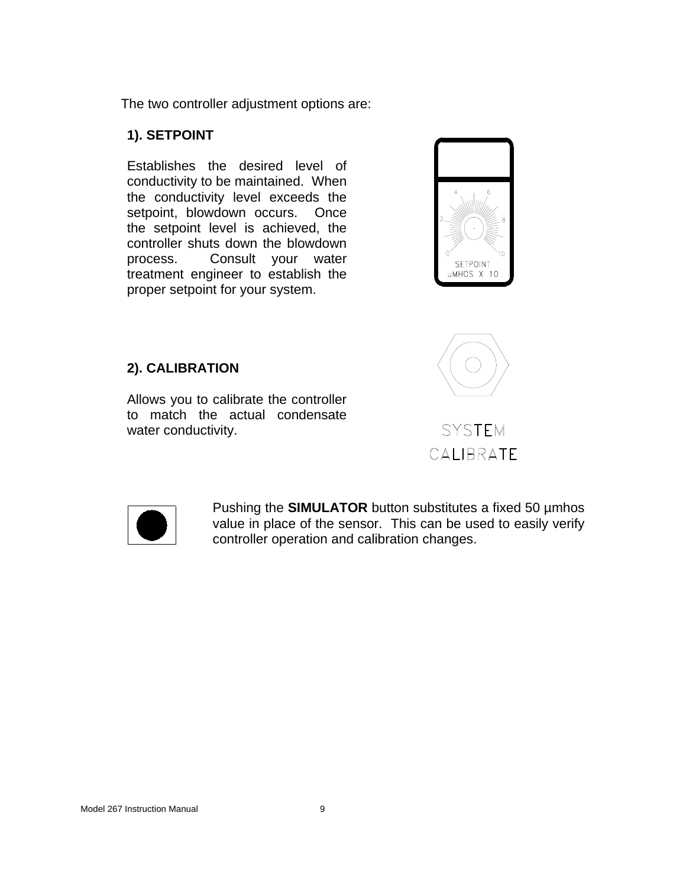The two controller adjustment options are:

#### **1). SETPOINT**

Establishes the desired level of conductivity to be maintained. When the conductivity level exceeds the setpoint, blowdown occurs. Once the setpoint level is achieved, the controller shuts down the blowdown process. Consult your water treatment engineer to establish the proper setpoint for your system.



#### **2). CALIBRATION**

Allows you to calibrate the controller to match the actual condensate water conductivity.





Pushing the **SIMULATOR** button substitutes a fixed 50 µmhos value in place of the sensor. This can be used to easily verify controller operation and calibration changes.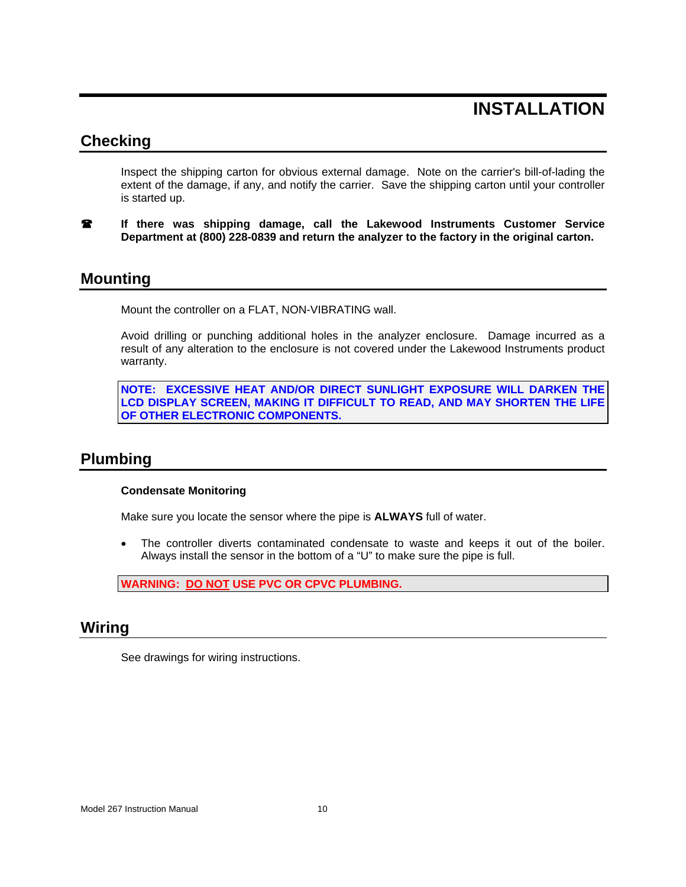# **INSTALLATION**

### **Checking**

Inspect the shipping carton for obvious external damage. Note on the carrier's bill-of-lading the extent of the damage, if any, and notify the carrier. Save the shipping carton until your controller is started up.

 **If there was shipping damage, call the Lakewood Instruments Customer Service Department at (800) 228-0839 and return the analyzer to the factory in the original carton.** 

#### **Mounting**

Mount the controller on a FLAT, NON-VIBRATING wall.

Avoid drilling or punching additional holes in the analyzer enclosure. Damage incurred as a result of any alteration to the enclosure is not covered under the Lakewood Instruments product warranty.

**NOTE: EXCESSIVE HEAT AND/OR DIRECT SUNLIGHT EXPOSURE WILL DARKEN THE LCD DISPLAY SCREEN, MAKING IT DIFFICULT TO READ, AND MAY SHORTEN THE LIFE OF OTHER ELECTRONIC COMPONENTS.** 

#### **Plumbing**

#### **Condensate Monitoring**

Make sure you locate the sensor where the pipe is **ALWAYS** full of water.

• The controller diverts contaminated condensate to waste and keeps it out of the boiler. Always install the sensor in the bottom of a "U" to make sure the pipe is full.

**WARNING: DO NOT USE PVC OR CPVC PLUMBING.** 

#### **Wiring**

See drawings for wiring instructions.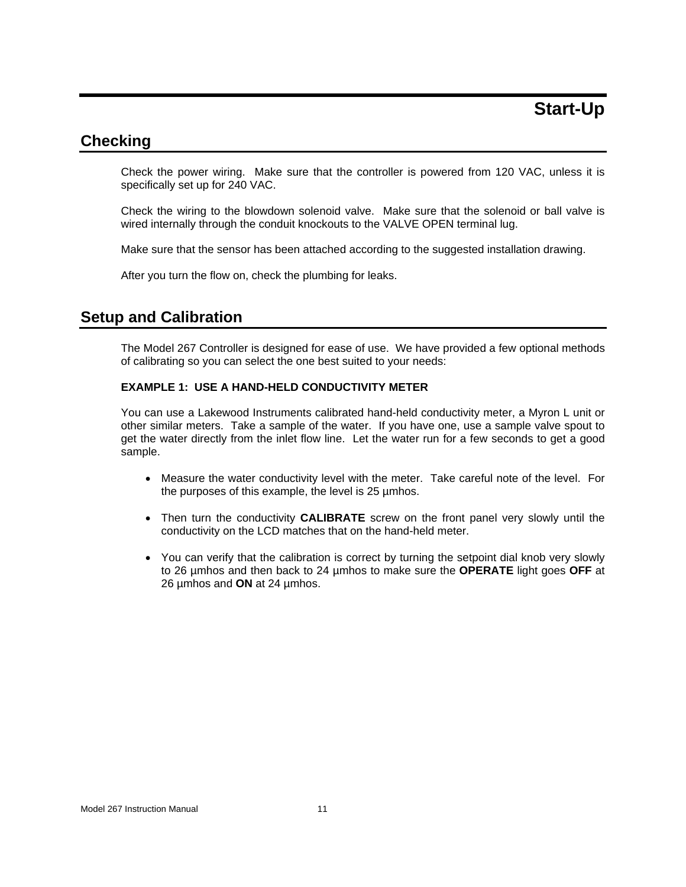### **Start-Up**

#### **Checking**

Check the power wiring. Make sure that the controller is powered from 120 VAC, unless it is specifically set up for 240 VAC.

Check the wiring to the blowdown solenoid valve. Make sure that the solenoid or ball valve is wired internally through the conduit knockouts to the VALVE OPEN terminal lug.

Make sure that the sensor has been attached according to the suggested installation drawing.

After you turn the flow on, check the plumbing for leaks.

### **Setup and Calibration**

The Model 267 Controller is designed for ease of use. We have provided a few optional methods of calibrating so you can select the one best suited to your needs:

#### **EXAMPLE 1: USE A HAND-HELD CONDUCTIVITY METER**

You can use a Lakewood Instruments calibrated hand-held conductivity meter, a Myron L unit or other similar meters. Take a sample of the water. If you have one, use a sample valve spout to get the water directly from the inlet flow line. Let the water run for a few seconds to get a good sample.

- Measure the water conductivity level with the meter. Take careful note of the level. For the purposes of this example, the level is 25 µmhos.
- Then turn the conductivity **CALIBRATE** screw on the front panel very slowly until the conductivity on the LCD matches that on the hand-held meter.
- You can verify that the calibration is correct by turning the setpoint dial knob very slowly to 26 µmhos and then back to 24 µmhos to make sure the **OPERATE** light goes **OFF** at 26 µmhos and **ON** at 24 µmhos.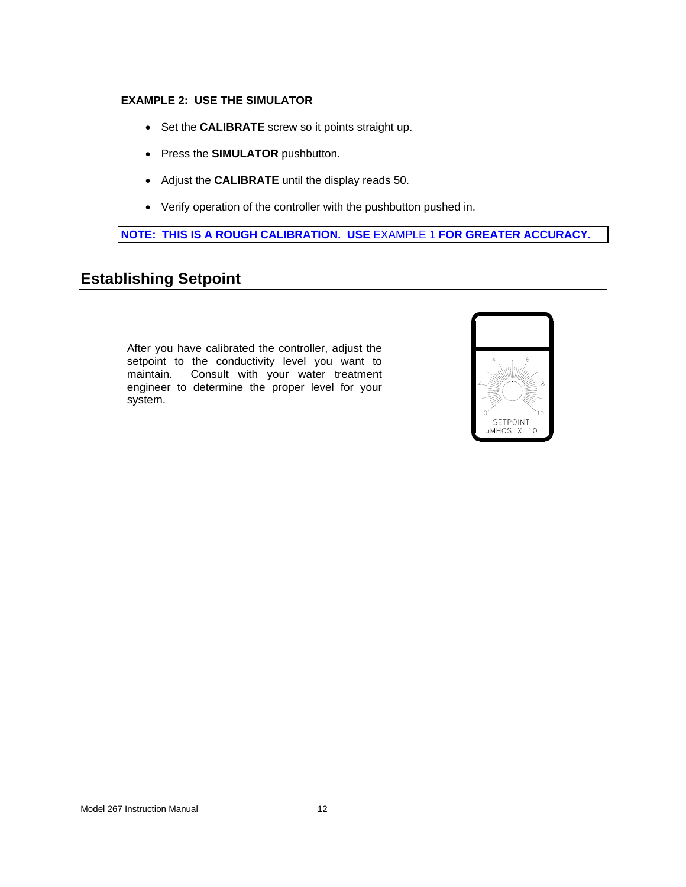#### **EXAMPLE 2: USE THE SIMULATOR**

- Set the **CALIBRATE** screw so it points straight up.
- Press the **SIMULATOR** pushbutton.
- Adjust the **CALIBRATE** until the display reads 50.
- Verify operation of the controller with the pushbutton pushed in.

**NOTE: THIS IS A ROUGH CALIBRATION. USE** EXAMPLE 1 **FOR GREATER ACCURACY.** 

### **Establishing Setpoint**

After you have calibrated the controller, adjust the setpoint to the conductivity level you want to maintain. Consult with your water treatment engineer to determine the proper level for your system.

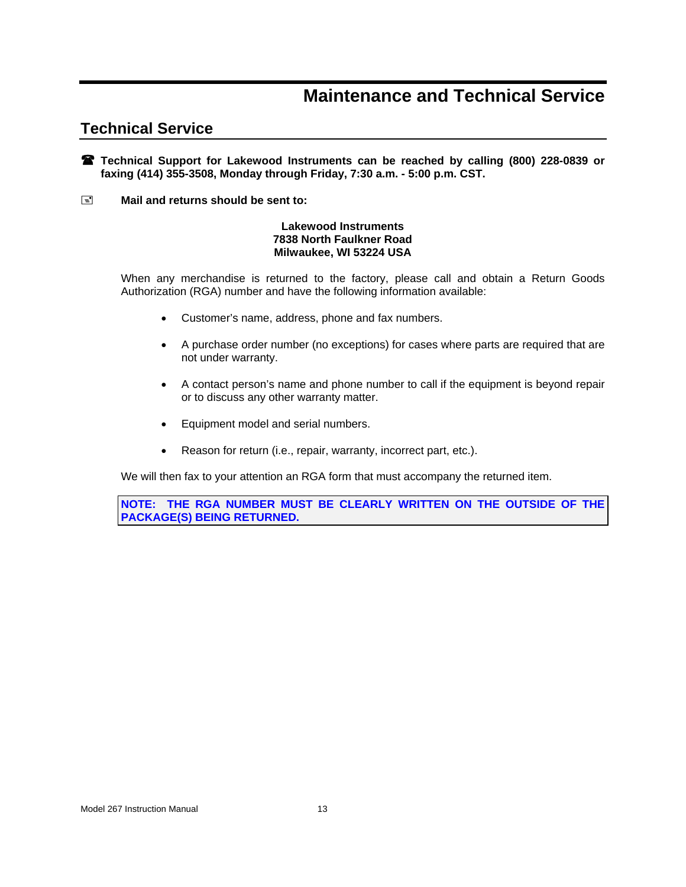### **Maintenance and Technical Service**

### **Technical Service**

 **Technical Support for Lakewood Instruments can be reached by calling (800) 228-0839 or faxing (414) 355-3508, Monday through Friday, 7:30 a.m. - 5:00 p.m. CST.** 

 $\boxed{\equiv}$  Mail and returns should be sent to:

#### **Lakewood Instruments 7838 North Faulkner Road Milwaukee, WI 53224 USA**

When any merchandise is returned to the factory, please call and obtain a Return Goods Authorization (RGA) number and have the following information available:

- Customer's name, address, phone and fax numbers.
- A purchase order number (no exceptions) for cases where parts are required that are not under warranty.
- A contact person's name and phone number to call if the equipment is beyond repair or to discuss any other warranty matter.
- Equipment model and serial numbers.
- Reason for return (i.e., repair, warranty, incorrect part, etc.).

We will then fax to your attention an RGA form that must accompany the returned item.

**NOTE: THE RGA NUMBER MUST BE CLEARLY WRITTEN ON THE OUTSIDE OF THE PACKAGE(S) BEING RETURNED.**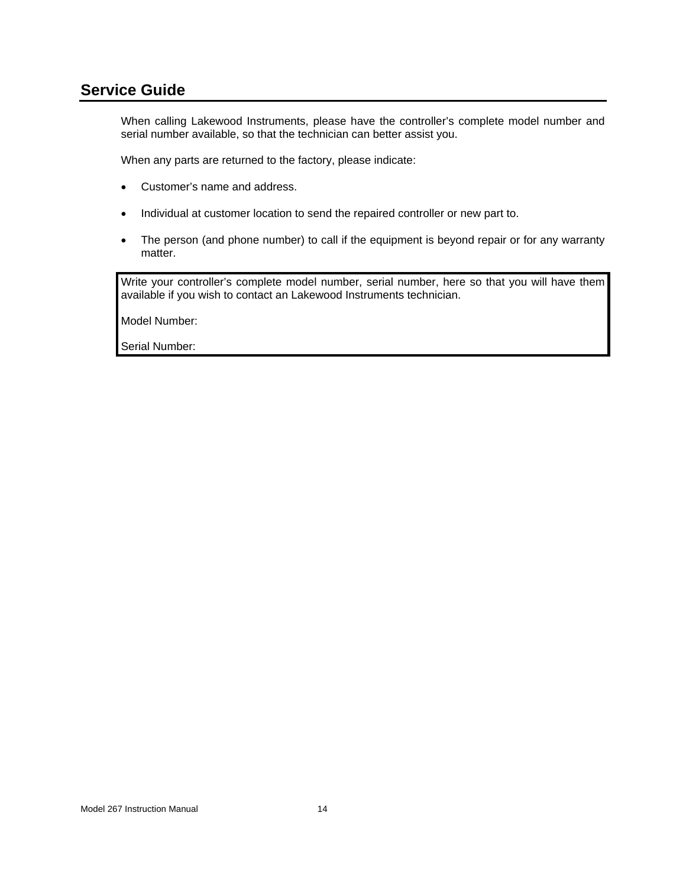### **Service Guide**

When calling Lakewood Instruments, please have the controller's complete model number and serial number available, so that the technician can better assist you.

When any parts are returned to the factory, please indicate:

- Customer's name and address.
- Individual at customer location to send the repaired controller or new part to.
- The person (and phone number) to call if the equipment is beyond repair or for any warranty matter.

Write your controller's complete model number, serial number, here so that you will have them available if you wish to contact an Lakewood Instruments technician.

Model Number:

Serial Number: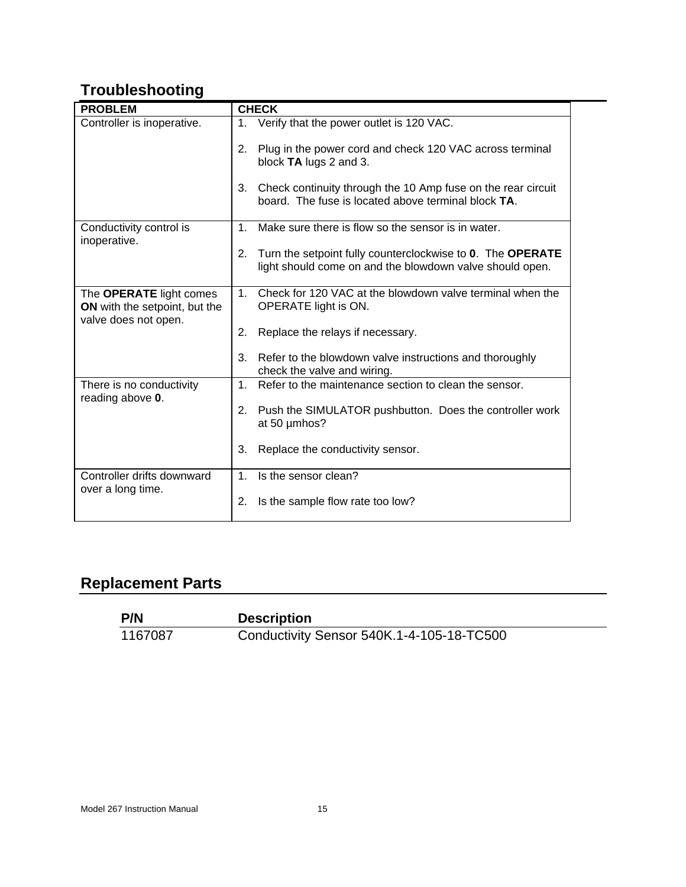## **Troubleshooting**

| <b>PROBLEM</b>                                                                          | <b>CHECK</b>                                                                                                                 |
|-----------------------------------------------------------------------------------------|------------------------------------------------------------------------------------------------------------------------------|
| Controller is inoperative.                                                              | Verify that the power outlet is 120 VAC.<br>1.                                                                               |
|                                                                                         | Plug in the power cord and check 120 VAC across terminal<br>2.<br>block TA lugs 2 and 3.                                     |
|                                                                                         | Check continuity through the 10 Amp fuse on the rear circuit<br>3.<br>board. The fuse is located above terminal block TA.    |
| Conductivity control is<br>inoperative.                                                 | Make sure there is flow so the sensor is in water.<br>1 <sub>1</sub>                                                         |
|                                                                                         | Turn the setpoint fully counterclockwise to 0. The OPERATE<br>2.<br>light should come on and the blowdown valve should open. |
| The <b>OPERATE</b> light comes<br>ON with the setpoint, but the<br>valve does not open. | 1. Check for 120 VAC at the blowdown valve terminal when the<br>OPERATE light is ON.                                         |
|                                                                                         | Replace the relays if necessary.<br>2.                                                                                       |
|                                                                                         | 3.<br>Refer to the blowdown valve instructions and thoroughly<br>check the valve and wiring.                                 |
| There is no conductivity<br>reading above 0.                                            | Refer to the maintenance section to clean the sensor.<br>1 <sub>1</sub>                                                      |
|                                                                                         | Push the SIMULATOR pushbutton. Does the controller work<br>2.<br>at 50 µmhos?                                                |
|                                                                                         | Replace the conductivity sensor.<br>3.                                                                                       |
| Controller drifts downward<br>over a long time.                                         | Is the sensor clean?<br>1                                                                                                    |
|                                                                                         | Is the sample flow rate too low?<br>2.                                                                                       |

# **Replacement Parts**

| P/N     | <b>Description</b>                        |
|---------|-------------------------------------------|
| 1167087 | Conductivity Sensor 540K.1-4-105-18-TC500 |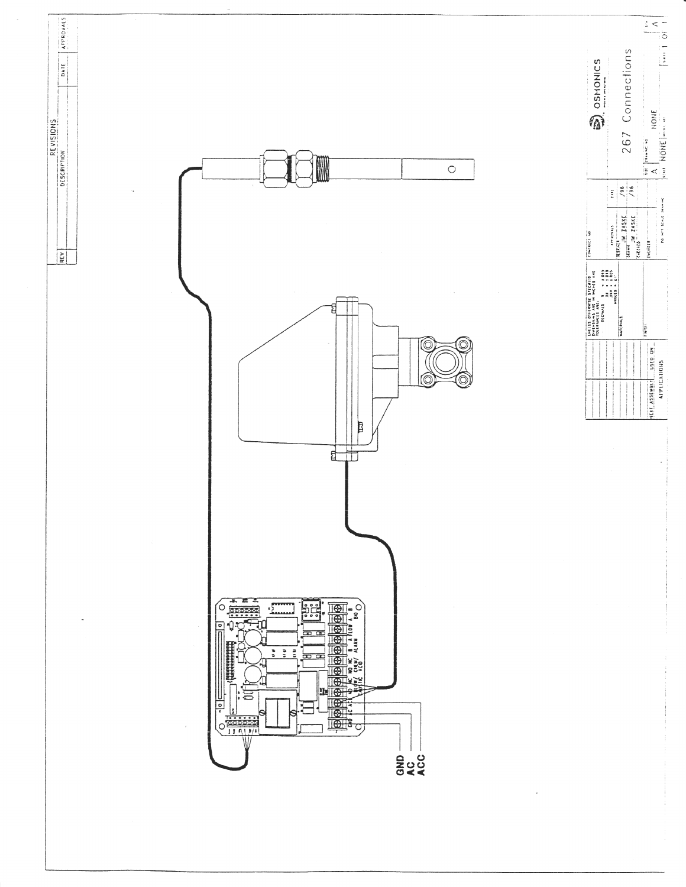